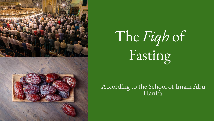

# The *Fiqh* of Fasting

According to the School of Imam Abu Hanifa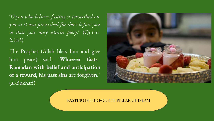'*O you who believe, fasting is prescribed on you as it was prescribed for those before you so that you may attain piety*.' (Quran 2:183)

The Prophet (Allah bless him and give him peace) said, '**Whoever fasts Ramadan with belief and anticipation of a reward, his past sins are forgiven**.' (al-Bukhari)



FASTING IS THE FOURTH PILLAR OF ISLAM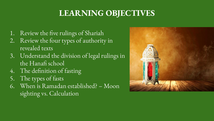# **LEARNING OBJECTIVES**

- 1. Review the five rulings of Shariah
- 2. Review the four types of authority in revealed texts
- 3. Understand the division of legal rulings in the Hanafi school
- 4. The definition of fasting
- 5. The types of fasts
- 6. When is Ramadan established? Moon sighting vs. Calculation

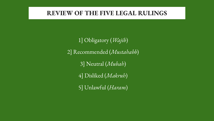### **REVIEW OF THE FIVE LEGAL RULINGS**

1] Obligatory (*Wajib*) 2] Recommended (*Mustahabb*) 3] Neutral (*Mubah*) 4] Disliked (*Makruh*) 5] Unlawful (*Haram*)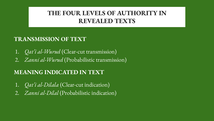### **THE FOUR LEVELS OF AUTHORITY IN REVEALED TEXTS**

### **TRANSMISSION OF TEXT**

- 1. *Qat'i al-Wurud* (Clear-cut transmission)
- 2. *Zanni al-Wurud* (Probabilistic transmission)

### **MEANING INDICATED IN TEXT**

- 1. *Qat'i al-Dilala* (Clear-cut indication)
- 2. *Zanni al-Dilal* (Probabilistic indication)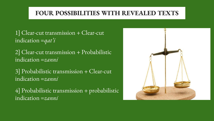### **FOUR POSSIBILITIES WITH REVEALED TEXTS**

- 1] Clear-cut transmission + Clear-cut indication =*qat'i*
- 2] Clear-cut transmission + Probabilistic indication =*zanni*
- 3] Probabilistic transmission + Clear-cut indication =*zanni*
- 4] Probabilistic transmission + probabilistic indication =*zanni*

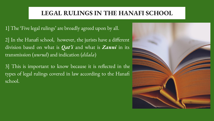### **LEGAL RULINGS IN THE HANAFI SCHOOL**

1] The 'Five legal rulings' are broadly agreed upon by all.

2] In the Hanafi school, however, the jurists have a different division based on what is *Qat'i* and what is *Zanni* in its transmission (*wurud*) and indication (*dilala*)

3] This is important to know because it is reflected in the types of legal rulings covered in law according to the Hanafi school.

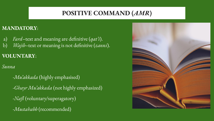### **POSITIVE COMMAND (***AMR***)**

#### **MANDATORY**:

- a) *Fard*–text and meaning are definitive (*qat'i*).
- b) *Wajib*–text or meaning is not definitive (*zanni*).

### **VOLUNTARY**:

*Sunna*

-*Mu'akkada* (highly emphasised) -*Ghayr Mu'akkada* (not highly emphasized) -*Nafl* (voluntary/superagatory) -*Mustahabb* (recommended)

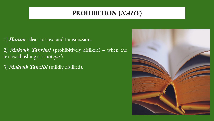### **PROHIBITION (***NAHY***)**

- 1] *Haram*–clear-cut text and transmission.
- 2] *Makruh Tahrimi* (prohibitively disliked) when the text establishing it is not *qat'i*.
- 3] *Makruh Tanzihi* (mildly disliked).

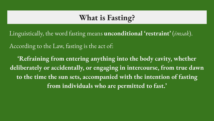# **What is Fasting?**

Linguistically, the word fasting means **unconditional 'restraint'** (*imsak*).

According to the Law, fasting is the act of:

**'Refraining from entering anything into the body cavity, whether deliberately or accidentally, or engaging in intercourse, from true dawn to the time the sun sets, accompanied with the intention of fasting from individuals who are permitted to fast.'**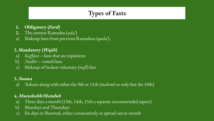# **Types of Fasts**

- **1. Obligatory (***Fard***)**
- **2.** The current Ramadan (*ada'*)
- a) Makeup fasts from previous Ramadans (*qada'*).

#### **2. Mandatory (***Wajib***)**

- a) *Kaffara* fasts that are expiations
- b) *Nadhr*  vowed fasts
- c) Makeup of broken voluntary (*nafl*) fast

#### **3.** *Sunna*

a) 'Ashura along with either the 9th or 11th (*makruh* to only fast the 10th)

#### **4.** *Mustahabb/Mandub*

- a) Three days a month (13th, 14th, 15th a separate recommended aspect)
- b) Mondays and Thursdays
- c) Six days in Shawwal, either consecutively or spread out in month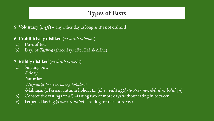# **Types of Fasts**

**5. Voluntary (** $naf$ **)** – any other day as long as it's not disliked

#### **6. Prohibitively disliked** (*makruh tahrim*i)

- a) Days of Eid
- b) Days of *Tashriq* (three days after Eid al-Adha)

#### **7. Mildly disliked** (*makruh tanzihi*):

- a) Singling out: -Friday -Saturday -*Nayruz* (a *Persian spring holiday) -*Mahrajan (a Persian autumn holiday)....[*this would apply to other non-Muslim holidays*]
- b) Consecutive fasting (*wisal*) –fasting two or more days without eating in between
- c) Perpetual fasting (s*awm al-dahr*) fasting for the entire year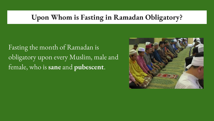# **Upon Whom is Fasting in Ramadan Obligatory?**

Fasting the month of Ramadan is obligatory upon every Muslim, male and female, who is **sane** and **pubescent**.

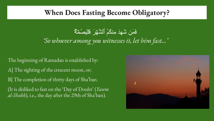### **When Does Fasting Become Obligatory?**

# فَمَن شَھِدَ مِنكُمُ ٱلشَّھۡ رَ فَلۡیَصُمۡ ھُۖ *'So whoever among you witnesses it, let him fast…'*

The beginning of Ramadan is established by: A] The sighting of the crescent moon, or; B] The completion of thirty days of Sha'ban. (It is disliked to fast on the 'Day of Doubt' (*Yawm al-Shakk*), i.e., the day after the 29th of Sha'ban).

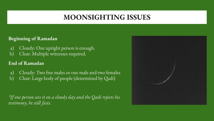# **MOONSIGHTING ISSUES**

#### **Beginning of Ramadan**

- a) Cloudy: One upright person is enough.
- b) Clear: Multiple witnesses required.

#### **End of Ramadan**

- a) Cloudy: Two free males or one male and two females
- b) Clear: Large body of people (determined by Qadi)

*\*If one person sees it on a cloudy day and the Qadi rejects his testimony, he still fasts.*

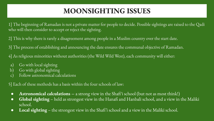# **MOONSIGHTING ISSUES**

1] The beginning of Ramadan is not a private matter for people to decide. Possible sightings are raised to the Qadi who will then consider to accept or reject the sighting.

2] This is why there is rarely a disagreement among people in a Muslim country over the start date.

3] The process of establishing and announcing the date ensures the communal objective of Ramadan.

4] As religious minorities without authorities (the Wild Wild West), each community will either:

- a) Go with local sighting
- b) Go with global sighting
- c) Follow astronomical calculations

5] Each of these methods has a basis within the four schools of law:

- **Astronomical calculations** a strong view in the Shafi'i school (but not as most think!)
- **Global sighting** held as strongest view in the Hanafi and Hanbali school, and a view in the Maliki school.
- **Local sighting** the strongest view in the Shafi'i school and a view in the Maliki school.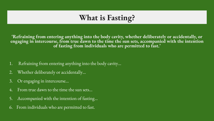# **What is Fasting?**

**'Refraining from entering anything into the body cavity, whether deliberately or accidentally, or engaging in intercourse, from true dawn to the time the sun sets, accompanied with the intention of fasting from individuals who are permitted to fast.'**

- 1. Refraining from entering anything into the body cavity…
- 2. Whether deliberately or accidentally…
- 3. Or engaging in intercourse…
- 4. From true dawn to the time the sun sets…
- 5. Accompanied with the intention of fasting…
- 6. From individuals who are permitted to fast.